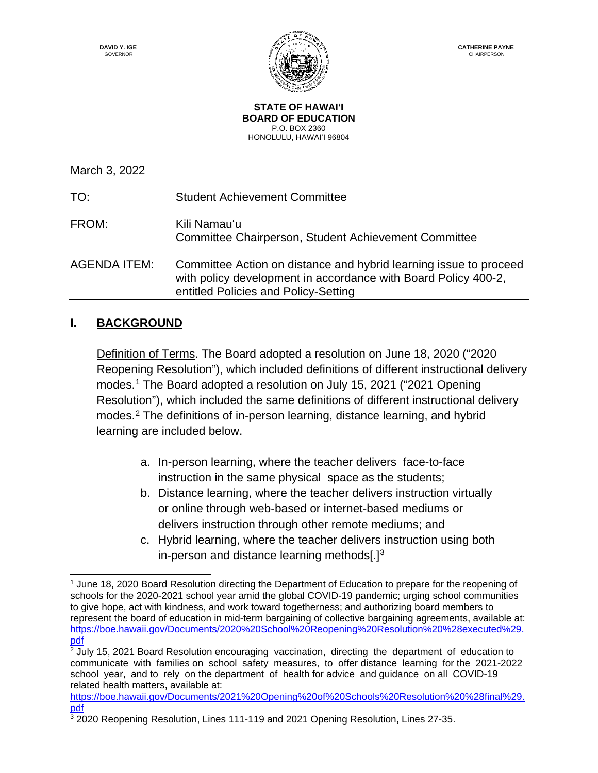

**STATE OF HAWAI'I BOARD OF EDUCATION** P.O. BOX 2360 HONOLULU, HAWAI'I 96804

March 3, 2022 TO: Student Achievement Committee FROM: Kili Namauʻu Committee Chairperson, Student Achievement Committee AGENDA ITEM: Committee Action on distance and hybrid learning issue to proceed with policy development in accordance with Board Policy 400-2, entitled Policies and Policy-Setting

# **I. BACKGROUND**

Definition of Terms. The Board adopted a resolution on June 18, 2020 ("2020 Reopening Resolution"), which included definitions of different instructional delivery modes.[1](#page-0-0) The Board adopted a resolution on July 15, 2021 ("2021 Opening Resolution"), which included the same definitions of different instructional delivery modes.[2](#page-0-1) The definitions of in-person learning, distance learning, and hybrid learning are included below.

- a. In-person learning, where the teacher delivers face-to-face instruction in the same physical space as the students;
- b. Distance learning, where the teacher delivers instruction virtually or online through web-based or internet-based mediums or delivers instruction through other remote mediums; and
- c. Hybrid learning, where the teacher delivers instruction using both in-person and distance learning methods $[.]^3$

<span id="page-0-0"></span> $\overline{a}$ <sup>1</sup> June 18, 2020 Board Resolution directing the Department of Education to prepare for the reopening of schools for the 2020-2021 school year amid the global COVID-19 pandemic; urging school communities to give hope, act with kindness, and work toward togetherness; and authorizing board members to represent the board of education in mid-term bargaining of collective bargaining agreements, available at: [https://boe.hawaii.gov/Documents/2020%20School%20Reopening%20Resolution%20%28executed%29.](https://boe.hawaii.gov/Documents/2020%20School%20Reopening%20Resolution%20%28executed%29.pdf) [pdf](https://boe.hawaii.gov/Documents/2020%20School%20Reopening%20Resolution%20%28executed%29.pdf)

<span id="page-0-1"></span> $2$  July 15, 2021 Board Resolution encouraging vaccination, directing the department of education to communicate with families on school safety measures, to offer distance learning for the 2021-2022 school year, and to rely on the department of health for advice and guidance on all COVID-19 related health matters, available at:

[https://boe.hawaii.gov/Documents/2021%20Opening%20of%20Schools%20Resolution%20%28final%29.](https://boe.hawaii.gov/Documents/2021%20Opening%20of%20Schools%20Resolution%20%28final%29.pdf) [pdf](https://boe.hawaii.gov/Documents/2021%20Opening%20of%20Schools%20Resolution%20%28final%29.pdf)

<span id="page-0-2"></span><sup>&</sup>lt;sup>3</sup> 2020 Reopening Resolution, Lines 111-119 and 2021 Opening Resolution, Lines 27-35.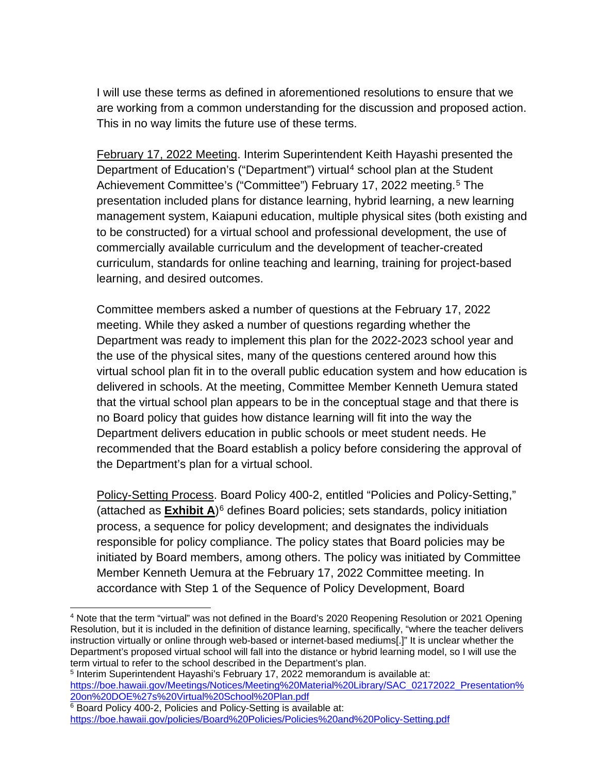I will use these terms as defined in aforementioned resolutions to ensure that we are working from a common understanding for the discussion and proposed action. This in no way limits the future use of these terms.

February 17, 2022 Meeting. Interim Superintendent Keith Hayashi presented the Department of Education's ("Department") virtual<sup>[4](#page-1-0)</sup> school plan at the Student Achievement Committee's ("Committee") February 17, 2022 meeting.<sup>[5](#page-1-1)</sup> The presentation included plans for distance learning, hybrid learning, a new learning management system, Kaiapuni education, multiple physical sites (both existing and to be constructed) for a virtual school and professional development, the use of commercially available curriculum and the development of teacher-created curriculum, standards for online teaching and learning, training for project-based learning, and desired outcomes.

Committee members asked a number of questions at the February 17, 2022 meeting. While they asked a number of questions regarding whether the Department was ready to implement this plan for the 2022-2023 school year and the use of the physical sites, many of the questions centered around how this virtual school plan fit in to the overall public education system and how education is delivered in schools. At the meeting, Committee Member Kenneth Uemura stated that the virtual school plan appears to be in the conceptual stage and that there is no Board policy that guides how distance learning will fit into the way the Department delivers education in public schools or meet student needs. He recommended that the Board establish a policy before considering the approval of the Department's plan for a virtual school.

Policy-Setting Process. Board Policy 400-2, entitled "Policies and Policy-Setting," (attached as **Exhibit A**)[6](#page-1-2) defines Board policies; sets standards, policy initiation process, a sequence for policy development; and designates the individuals responsible for policy compliance. The policy states that Board policies may be initiated by Board members, among others. The policy was initiated by Committee Member Kenneth Uemura at the February 17, 2022 Committee meeting. In accordance with Step 1 of the Sequence of Policy Development, Board

 $\overline{a}$ 

<span id="page-1-0"></span><sup>4</sup> Note that the term "virtual" was not defined in the Board's 2020 Reopening Resolution or 2021 Opening Resolution, but it is included in the definition of distance learning, specifically, "where the teacher delivers instruction virtually or online through web-based or internet-based mediums[.]" It is unclear whether the Department's proposed virtual school will fall into the distance or hybrid learning model, so I will use the term virtual to refer to the school described in the Department's plan.

<span id="page-1-1"></span><sup>5</sup> Interim Superintendent Hayashi's February 17, 2022 memorandum is available at: [https://boe.hawaii.gov/Meetings/Notices/Meeting%20Material%20Library/SAC\\_02172022\\_Presentation%](https://boe.hawaii.gov/Meetings/Notices/Meeting%20Material%20Library/SAC_02172022_Presentation%20on%20DOE%27s%20Virtual%20School%20Plan.pdf) [20on%20DOE%27s%20Virtual%20School%20Plan.pdf](https://boe.hawaii.gov/Meetings/Notices/Meeting%20Material%20Library/SAC_02172022_Presentation%20on%20DOE%27s%20Virtual%20School%20Plan.pdf)

<span id="page-1-2"></span><sup>6</sup> Board Policy 400-2, Policies and Policy-Setting is available at: <https://boe.hawaii.gov/policies/Board%20Policies/Policies%20and%20Policy-Setting.pdf>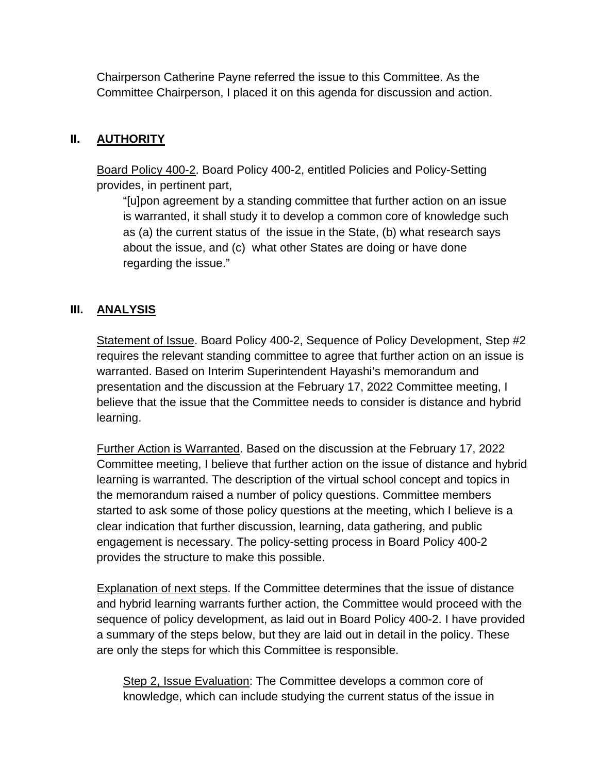Chairperson Catherine Payne referred the issue to this Committee. As the Committee Chairperson, I placed it on this agenda for discussion and action.

## **II. AUTHORITY**

Board Policy 400-2. Board Policy 400-2, entitled Policies and Policy-Setting provides, in pertinent part,

"[u]pon agreement by a standing committee that further action on an issue is warranted, it shall study it to develop a common core of knowledge such as (a) the current status of the issue in the State, (b) what research says about the issue, and (c) what other States are doing or have done regarding the issue."

# **III. ANALYSIS**

Statement of Issue. Board Policy 400-2, Sequence of Policy Development, Step #2 requires the relevant standing committee to agree that further action on an issue is warranted. Based on Interim Superintendent Hayashi's memorandum and presentation and the discussion at the February 17, 2022 Committee meeting, I believe that the issue that the Committee needs to consider is distance and hybrid learning.

Further Action is Warranted. Based on the discussion at the February 17, 2022 Committee meeting, I believe that further action on the issue of distance and hybrid learning is warranted. The description of the virtual school concept and topics in the memorandum raised a number of policy questions. Committee members started to ask some of those policy questions at the meeting, which I believe is a clear indication that further discussion, learning, data gathering, and public engagement is necessary. The policy-setting process in Board Policy 400-2 provides the structure to make this possible.

Explanation of next steps. If the Committee determines that the issue of distance and hybrid learning warrants further action, the Committee would proceed with the sequence of policy development, as laid out in Board Policy 400-2. I have provided a summary of the steps below, but they are laid out in detail in the policy. These are only the steps for which this Committee is responsible.

Step 2, Issue Evaluation: The Committee develops a common core of knowledge, which can include studying the current status of the issue in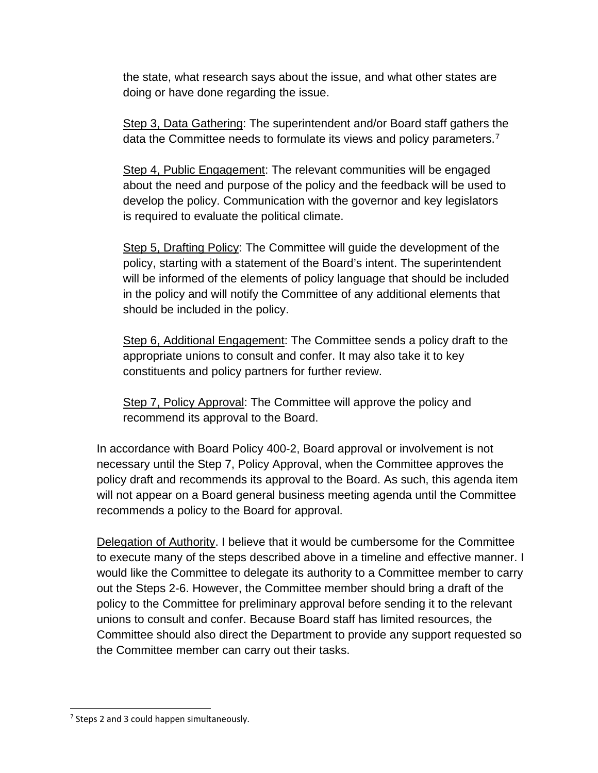the state, what research says about the issue, and what other states are doing or have done regarding the issue.

Step 3, Data Gathering: The superintendent and/or Board staff gathers the data the Committee needs to formulate its views and policy parameters.<sup>[7](#page-3-0)</sup>

Step 4, Public Engagement: The relevant communities will be engaged about the need and purpose of the policy and the feedback will be used to develop the policy. Communication with the governor and key legislators is required to evaluate the political climate.

Step 5, Drafting Policy: The Committee will guide the development of the policy, starting with a statement of the Board's intent. The superintendent will be informed of the elements of policy language that should be included in the policy and will notify the Committee of any additional elements that should be included in the policy.

Step 6, Additional Engagement: The Committee sends a policy draft to the appropriate unions to consult and confer. It may also take it to key constituents and policy partners for further review.

Step 7, Policy Approval: The Committee will approve the policy and recommend its approval to the Board.

In accordance with Board Policy 400-2, Board approval or involvement is not necessary until the Step 7, Policy Approval, when the Committee approves the policy draft and recommends its approval to the Board. As such, this agenda item will not appear on a Board general business meeting agenda until the Committee recommends a policy to the Board for approval.

Delegation of Authority. I believe that it would be cumbersome for the Committee to execute many of the steps described above in a timeline and effective manner. I would like the Committee to delegate its authority to a Committee member to carry out the Steps 2-6. However, the Committee member should bring a draft of the policy to the Committee for preliminary approval before sending it to the relevant unions to consult and confer. Because Board staff has limited resources, the Committee should also direct the Department to provide any support requested so the Committee member can carry out their tasks.

 $\overline{a}$ 

<span id="page-3-0"></span> $7$  Steps 2 and 3 could happen simultaneously.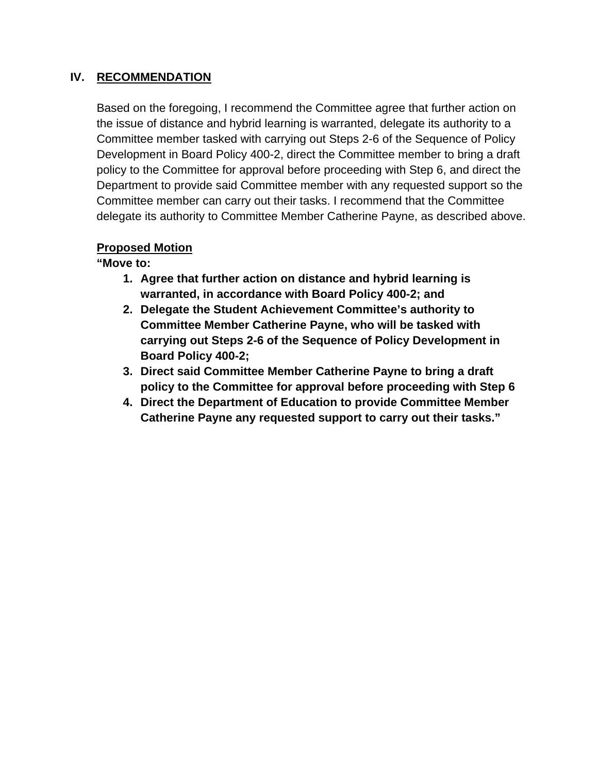## **IV. RECOMMENDATION**

Based on the foregoing, I recommend the Committee agree that further action on the issue of distance and hybrid learning is warranted, delegate its authority to a Committee member tasked with carrying out Steps 2-6 of the Sequence of Policy Development in Board Policy 400-2, direct the Committee member to bring a draft policy to the Committee for approval before proceeding with Step 6, and direct the Department to provide said Committee member with any requested support so the Committee member can carry out their tasks. I recommend that the Committee delegate its authority to Committee Member Catherine Payne, as described above.

## **Proposed Motion**

**"Move to:**

- **1. Agree that further action on distance and hybrid learning is warranted, in accordance with Board Policy 400-2; and**
- **2. Delegate the Student Achievement Committee's authority to Committee Member Catherine Payne, who will be tasked with carrying out Steps 2-6 of the Sequence of Policy Development in Board Policy 400-2;**
- **3. Direct said Committee Member Catherine Payne to bring a draft policy to the Committee for approval before proceeding with Step 6**
- **4. Direct the Department of Education to provide Committee Member Catherine Payne any requested support to carry out their tasks."**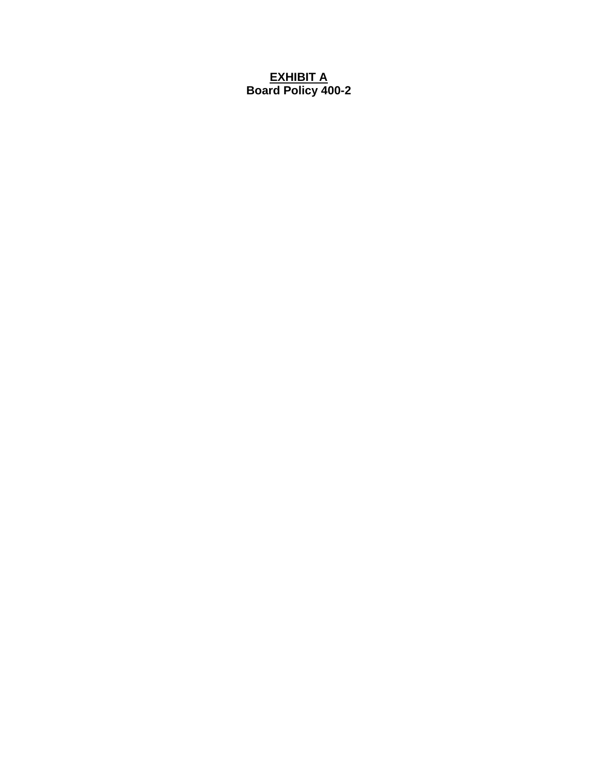### **EXHIBIT A Board Policy 400-2**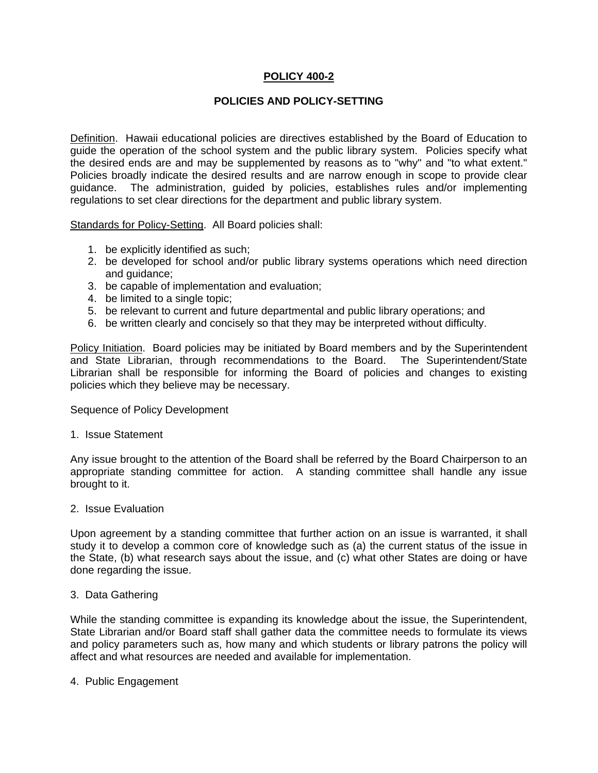### **POLICY 400-2**

### **POLICIES AND POLICY-SETTING**

Definition. Hawaii educational policies are directives established by the Board of Education to guide the operation of the school system and the public library system. Policies specify what the desired ends are and may be supplemented by reasons as to "why" and "to what extent." Policies broadly indicate the desired results and are narrow enough in scope to provide clear guidance. The administration, guided by policies, establishes rules and/or implementing regulations to set clear directions for the department and public library system.

Standards for Policy-Setting. All Board policies shall:

- 1. be explicitly identified as such;
- 2. be developed for school and/or public library systems operations which need direction and guidance;
- 3. be capable of implementation and evaluation;
- 4. be limited to a single topic;
- 5. be relevant to current and future departmental and public library operations; and
- 6. be written clearly and concisely so that they may be interpreted without difficulty.

Policy Initiation. Board policies may be initiated by Board members and by the Superintendent and State Librarian, through recommendations to the Board. The Superintendent/State Librarian shall be responsible for informing the Board of policies and changes to existing policies which they believe may be necessary.

Sequence of Policy Development

#### 1. Issue Statement

Any issue brought to the attention of the Board shall be referred by the Board Chairperson to an appropriate standing committee for action. A standing committee shall handle any issue brought to it.

#### 2. Issue Evaluation

Upon agreement by a standing committee that further action on an issue is warranted, it shall study it to develop a common core of knowledge such as (a) the current status of the issue in the State, (b) what research says about the issue, and (c) what other States are doing or have done regarding the issue.

#### 3. Data Gathering

While the standing committee is expanding its knowledge about the issue, the Superintendent, State Librarian and/or Board staff shall gather data the committee needs to formulate its views and policy parameters such as, how many and which students or library patrons the policy will affect and what resources are needed and available for implementation.

4. Public Engagement